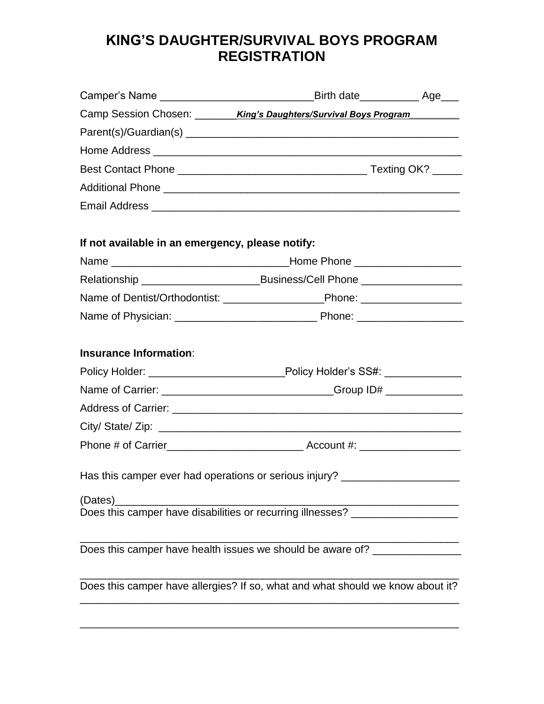# **KING'S DAUGHTER/SURVIVAL BOYS PROGRAM REGISTRATION**

|                                                  | Camper's Name _________________________________Birth date_______________ Age____ |  |
|--------------------------------------------------|----------------------------------------------------------------------------------|--|
|                                                  | Camp Session Chosen: King's Daughters/Survival Boys Program                      |  |
|                                                  |                                                                                  |  |
|                                                  |                                                                                  |  |
|                                                  |                                                                                  |  |
|                                                  |                                                                                  |  |
|                                                  |                                                                                  |  |
| If not available in an emergency, please notify: |                                                                                  |  |
|                                                  |                                                                                  |  |
|                                                  | Relationship __________________________Business/Cell Phone _____________________ |  |
|                                                  | Name of Dentist/Orthodontist: ____________________________Phone: _______________ |  |
|                                                  |                                                                                  |  |
| <b>Insurance Information:</b>                    |                                                                                  |  |
|                                                  | Policy Holder: _________________________Policy Holder's SS#: _______________     |  |
|                                                  | Name of Carrier: ________________________________Group ID# _____________________ |  |
|                                                  |                                                                                  |  |
|                                                  |                                                                                  |  |
|                                                  |                                                                                  |  |
|                                                  | Has this camper ever had operations or serious injury? _________________________ |  |
| (Dates)                                          | Does this camper have disabilities or recurring illnesses? _____________________ |  |
|                                                  | Does this camper have health issues we should be aware of? _____________________ |  |
|                                                  | Does this camper have allergies? If so, what and what should we know about it?   |  |
|                                                  |                                                                                  |  |